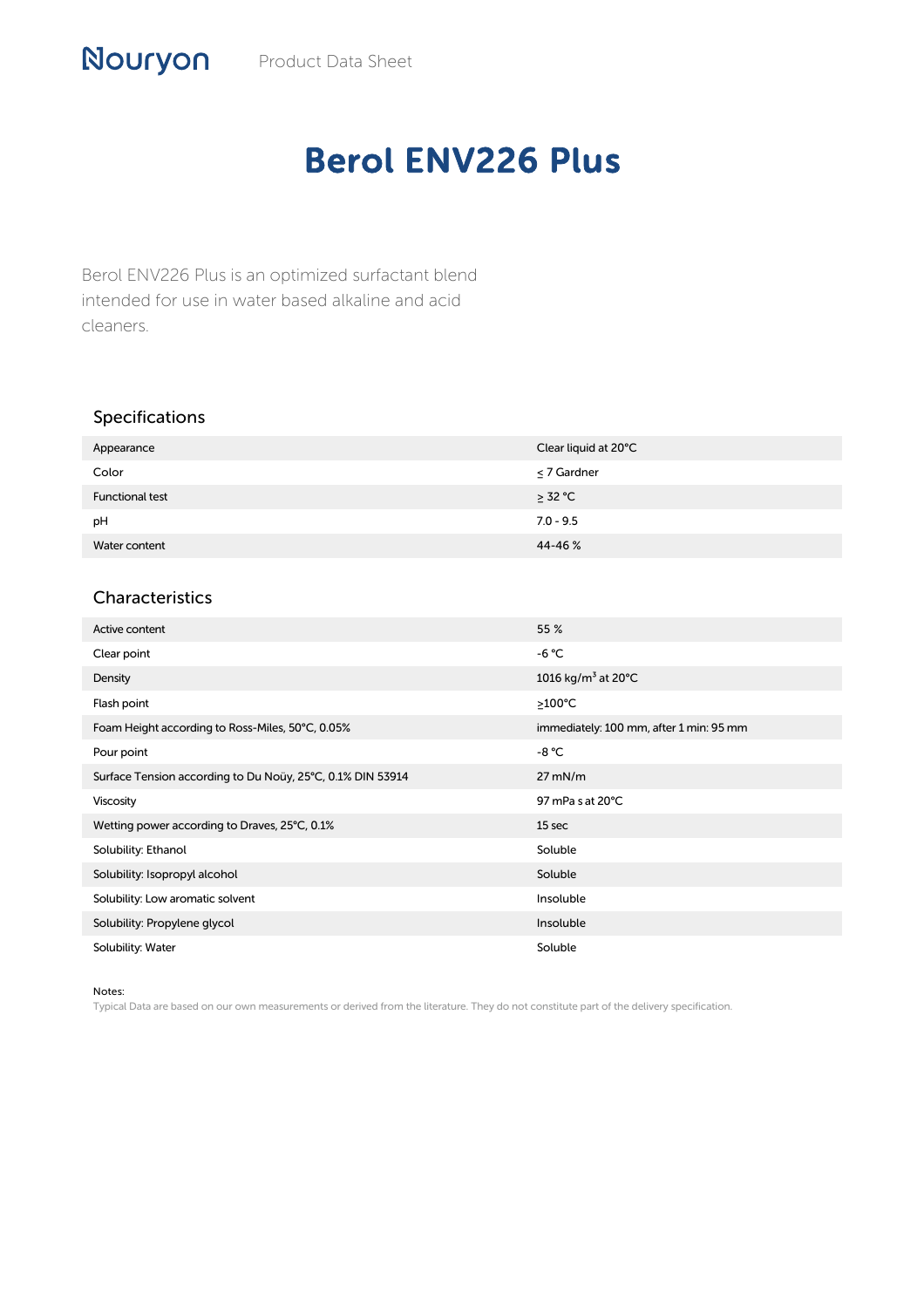## Berol ENV226 Plus

Berol ENV226 Plus is an optimized surfactant blend intended for use in water based alkaline and acid cleaners.

## Specifications

| Appearance             | Clear liquid at 20°C |
|------------------------|----------------------|
| Color                  | $\leq$ 7 Gardner     |
| <b>Functional test</b> | $\geq$ 32 °C         |
| pH                     | $7.0 - 9.5$          |
| Water content          | 44-46 %              |

## Characteristics

| Active content                                             | 55 %                                      |
|------------------------------------------------------------|-------------------------------------------|
| Clear point                                                | $-6 °C$                                   |
| Density                                                    | 1016 kg/m <sup>3</sup> at 20 $^{\circ}$ C |
| Flash point                                                | $>100^{\circ}$ C                          |
| Foam Height according to Ross-Miles, 50°C, 0.05%           | immediately: 100 mm, after 1 min: 95 mm   |
| Pour point                                                 | -8 °C                                     |
| Surface Tension according to Du Noüy, 25°C, 0.1% DIN 53914 | $27$ mN/m                                 |
| <b>Viscosity</b>                                           | 97 mPa s at 20°C                          |
| Wetting power according to Draves, 25°C, 0.1%              | 15 sec                                    |
| Solubility: Ethanol                                        | Soluble                                   |
| Solubility: Isopropyl alcohol                              | Soluble                                   |
| Solubility: Low aromatic solvent                           | Insoluble                                 |
| Solubility: Propylene glycol                               | Insoluble                                 |
| Solubility: Water                                          | Soluble                                   |

## Notes:

Typical Data are based on our own measurements or derived from the literature. They do not constitute part of the delivery specification.